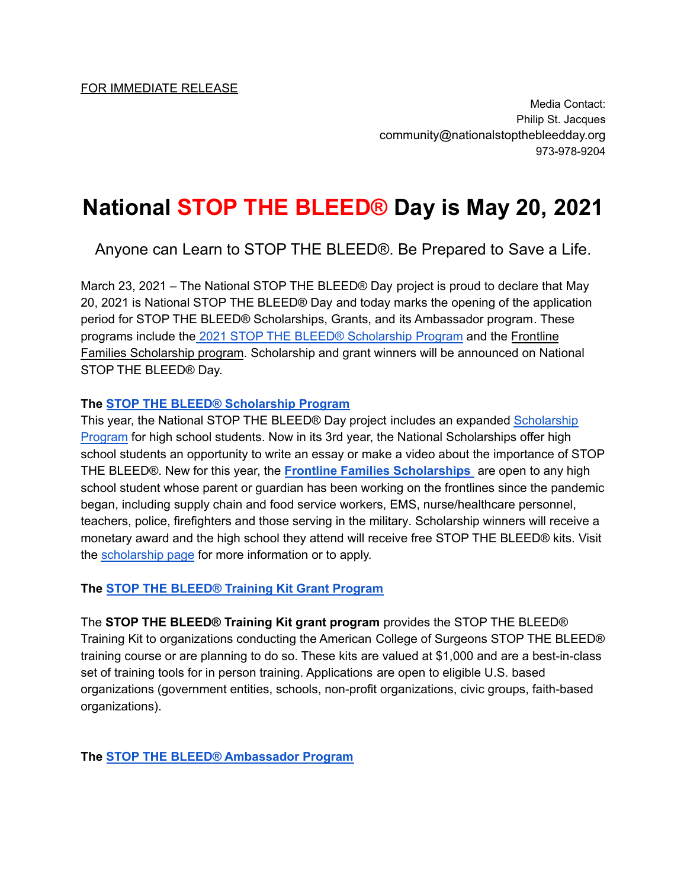Media Contact: Philip St. Jacques community@nationalstopthebleedday.org 973-978-9204

# **National STOP THE BLEED® Day is May 20, 2021**

Anyone can Learn to STOP THE BLEED®. Be Prepared to Save a Life.

March 23, 2021 – The National STOP THE BLEED® Day project is proud to declare that May 20, 2021 is National STOP THE BLEED® Day and today marks the opening of the application period for STOP THE BLEED® Scholarships, Grants, and its Ambassador program. These programs include the 2021 STOP THE BLEED® Scholarship Program and the Frontline Families Scholarship program. Scholarship and grant winners will be announced on National STOP THE BLEED® Day.

#### **The STOP THE BLEED® Scholarship Program**

This year, the National STOP THE BLEED® Day project includes an expanded Scholarship Program for high school students. Now in its 3rd year, the National Scholarships offer high school students an opportunity to write an essay or make a video about the importance of STOP THE BLEED®. New for this year, the **Frontline Families Scholarships** are open to any high school student whose parent or guardian has been working on the frontlines since the pandemic began, including supply chain and food service workers, EMS, nurse/healthcare personnel, teachers, police, firefighters and those serving in the military. Scholarship winners will receive a monetary award and the high school they attend will receive free STOP THE BLEED® kits. Visit the scholarship page for more information or to apply.

#### **The STOP THE BLEED® Training Kit Grant Program**

The **STOP THE BLEED® Training Kit grant program** provides the STOP THE BLEED® Training Kit to organizations conducting the American College of Surgeons STOP THE BLEED® training course or are planning to do so. These kits are valued at \$1,000 and are a best-in-class set of training tools for in person training. Applications are open to eligible U.S. based organizations (government entities, schools, non-profit organizations, civic groups, faith-based organizations).

**The STOP THE BLEED® Ambassador Program**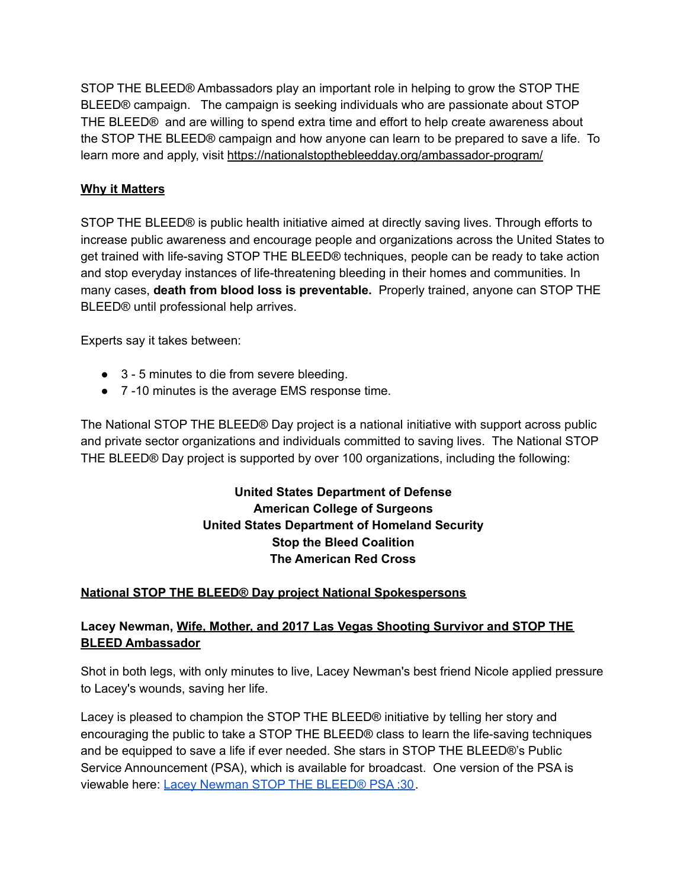STOP THE BLEED® Ambassadors play an important role in helping to grow the STOP THE BLEED® campaign. The campaign is seeking individuals who are passionate about STOP THE BLEED® and are willing to spend extra time and effort to help create awareness about the STOP THE BLEED® campaign and how anyone can learn to be prepared to save a life. To learn more and apply, visit https://nationalstopthebleedday.org/ambassador-program/

## **Why it Matters**

STOP THE BLEED® is public health initiative aimed at directly saving lives. Through efforts to increase public awareness and encourage people and organizations across the United States to get trained with life-saving STOP THE BLEED® techniques, people can be ready to take action and stop everyday instances of life-threatening bleeding in their homes and communities. In many cases, **death from blood loss is preventable.** Properly trained, anyone can STOP THE BLEED® until professional help arrives.

Experts say it takes between:

- 3 5 minutes to die from severe bleeding.
- 7 -10 minutes is the average EMS response time.

The National STOP THE BLEED® Day project is a national initiative with support across public and private sector organizations and individuals committed to saving lives. The National STOP THE BLEED® Day project is supported by over 100 organizations, including the following:

## **United States Department of Defense American College of Surgeons United States Department of Homeland Security Stop the Bleed Coalition The American Red Cross**

#### **National STOP THE BLEED® Day project National Spokespersons**

#### **Lacey Newman, Wife, Mother, and 2017 Las Vegas Shooting Survivor and STOP THE BLEED Ambassador**

Shot in both legs, with only minutes to live, Lacey Newman's best friend Nicole applied pressure to Lacey's wounds, saving her life.

Lacey is pleased to champion the STOP THE BLEED® initiative by telling her story and encouraging the public to take a STOP THE BLEED® class to learn the life-saving techniques and be equipped to save a life if ever needed. She stars in STOP THE BLEED®'s Public Service Announcement (PSA), which is available for broadcast. One version of the PSA is viewable here: Lacey Newman STOP THE BLEED® PSA :30.